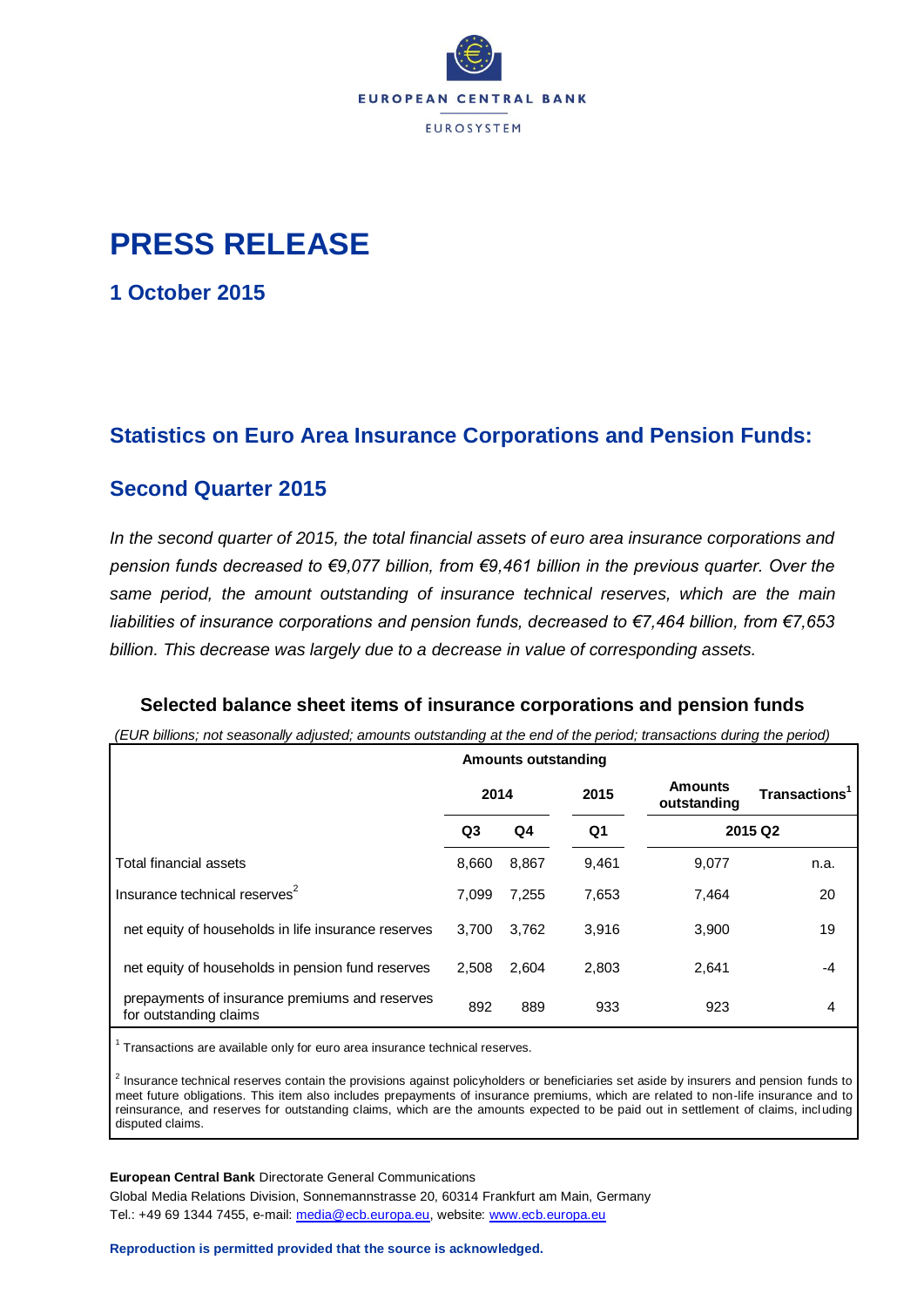

# **PRESS RELEASE**

**1 October 2015**

## **Statistics on Euro Area Insurance Corporations and Pension Funds:**

### **Second Quarter 2015**

*In the second quarter of 2015, the total financial assets of euro area insurance corporations and pension funds decreased to €9,077 billion, from €9,461 billion in the previous quarter. Over the same period, the amount outstanding of insurance technical reserves, which are the main liabilities of insurance corporations and pension funds, decreased to €7,464 billion, from €7,653 billion. This decrease was largely due to a decrease in value of corresponding assets.*

### **Selected balance sheet items of insurance corporations and pension funds**

| (EUR billions; not seasonally adjusted; amounts outstanding at the end of the period; transactions during the period) |       |                     |       |                        |                           |
|-----------------------------------------------------------------------------------------------------------------------|-------|---------------------|-------|------------------------|---------------------------|
|                                                                                                                       |       | Amounts outstanding |       |                        |                           |
|                                                                                                                       | 2014  |                     | 2015  | Amounts<br>outstanding | Transactions <sup>1</sup> |
|                                                                                                                       | Q3    | Q4                  | Q1    |                        | 2015 Q2                   |
| Total financial assets                                                                                                | 8.660 | 8,867               | 9,461 | 9,077                  | n.a.                      |
| Insurance technical reserves <sup>2</sup>                                                                             | 7.099 | 7.255               | 7,653 | 7,464                  | 20                        |
| net equity of households in life insurance reserves                                                                   | 3.700 | 3,762               | 3,916 | 3,900                  | 19                        |
| net equity of households in pension fund reserves                                                                     | 2.508 | 2.604               | 2,803 | 2,641                  | -4                        |
| prepayments of insurance premiums and reserves<br>for outstanding claims                                              | 892   | 889                 | 933   | 923                    | 4                         |

 $1$  Transactions are available only for euro area insurance technical reserves.

<sup>2</sup> Insurance technical reserves contain the provisions against policyholders or beneficiaries set aside by insurers and pension funds to meet future obligations. This item also includes prepayments of insurance premiums, which are related to non-life insurance and to reinsurance, and reserves for outstanding claims, which are the amounts expected to be paid out in settlement of claims, including disputed claims.

#### **European Central Bank** Directorate General Communications

Global Media Relations Division, Sonnemannstrasse 20, 60314 Frankfurt am Main, Germany Tel.: +49 69 1344 7455, e-mail: [media@ecb.europa.eu,](mailto:media@ecb.europa.eu) website: [www.ecb.europa.eu](http://www.ecb.europa.eu/)

### **Reproduction is permitted provided that the source is acknowledged.**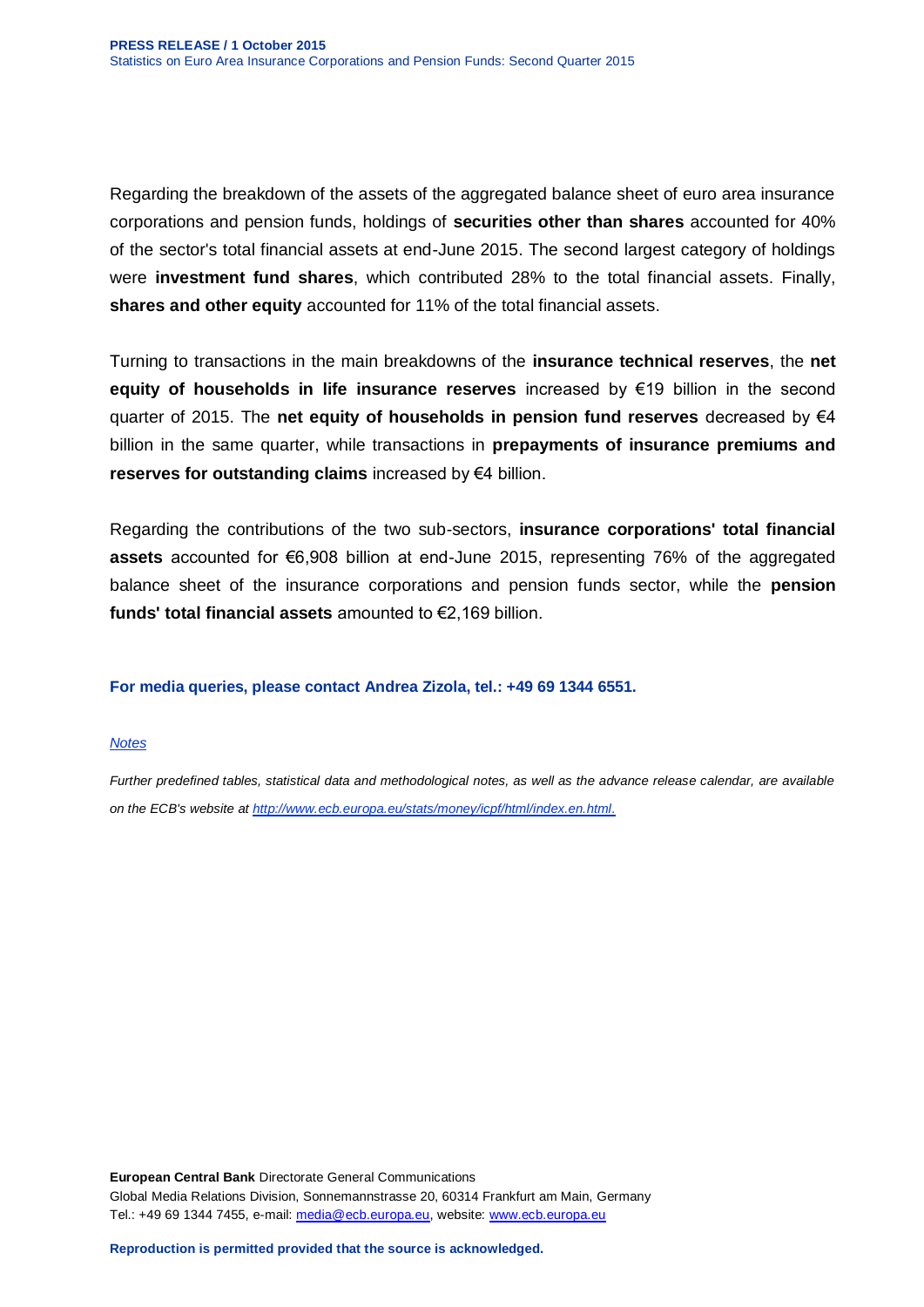Regarding the breakdown of the assets of the aggregated balance sheet of euro area insurance corporations and pension funds, holdings of **securities other than shares** accounted for 40% of the sector's total financial assets at end-June 2015. The second largest category of holdings were **investment fund shares**, which contributed 28% to the total financial assets. Finally, **shares and other equity** accounted for 11% of the total financial assets.

Turning to transactions in the main breakdowns of the **insurance technical reserves**, the **net equity of households in life insurance reserves** increased by €19 billion in the second quarter of 2015. The **net equity of households in pension fund reserves** decreased by €4 billion in the same quarter, while transactions in **prepayments of insurance premiums and reserves for outstanding claims** increased by €4 billion.

Regarding the contributions of the two sub-sectors, **insurance corporations' total financial assets** accounted for €6,908 billion at end-June 2015, representing 76% of the aggregated balance sheet of the insurance corporations and pension funds sector, while the **pension funds' total financial assets** amounted to €2,169 billion.

**For media queries, please contact Andrea Zizola, tel.: +49 69 1344 6551.**

### *Notes*

*Further predefined tables, statistical data and methodological notes, as well as the advance release calendar, are available on the ECB's website at [http://www.ecb.europa.eu/stats/money/icpf/html/index.en.html.](http://www.ecb.europa.eu/stats/money/icpf/html/index.en.html)*

**European Central Bank** Directorate General Communications Global Media Relations Division, Sonnemannstrasse 20, 60314 Frankfurt am Main, Germany Tel.: +49 69 1344 7455, e-mail: [media@ecb.europa.eu,](mailto:media@ecb.europa.eu) website: [www.ecb.europa.eu](http://www.ecb.europa.eu/)

**Reproduction is permitted provided that the source is acknowledged.**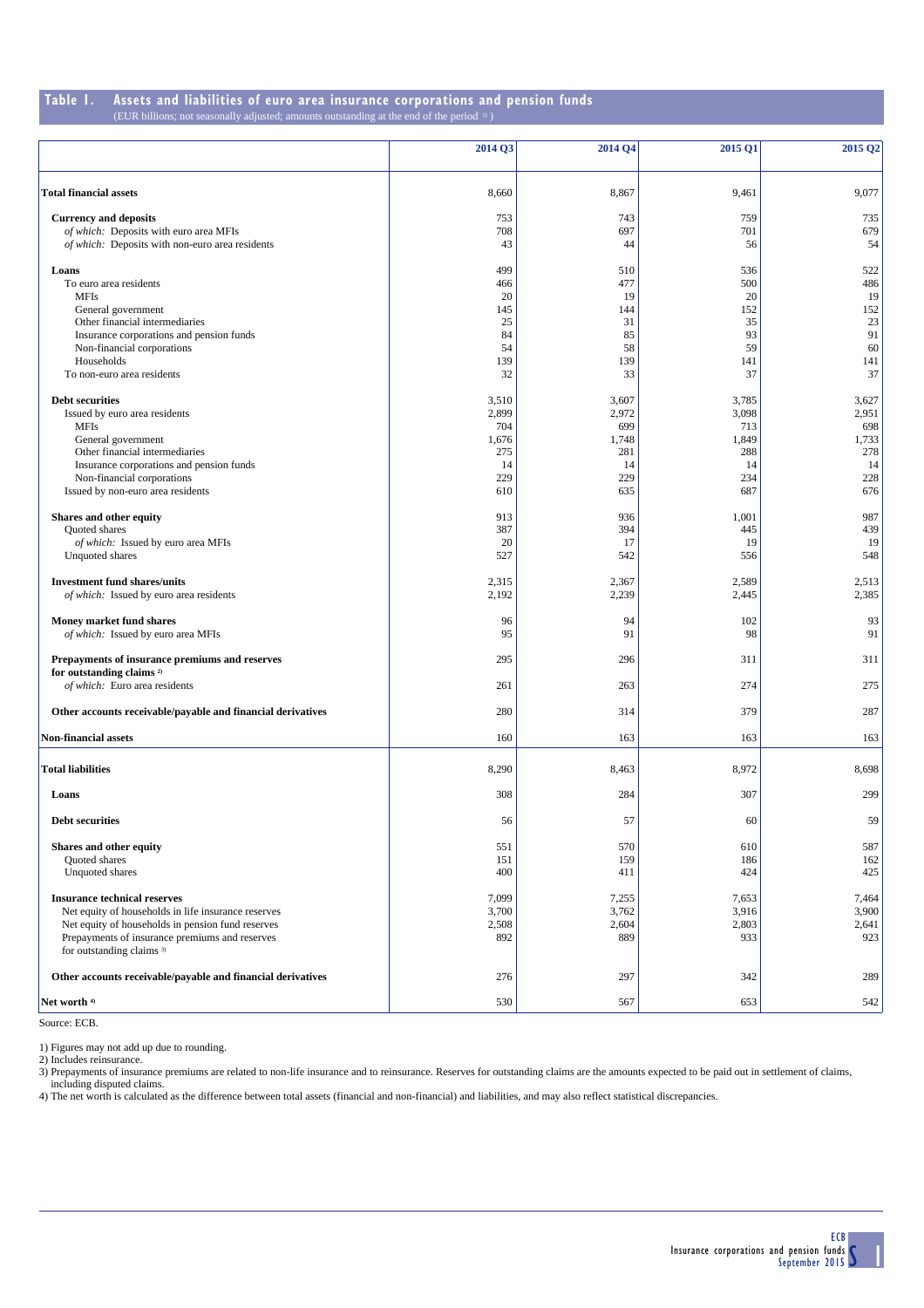#### **Table 1. Assets and liabilities of euro area insurance corporations and pension funds** (EUR billions; not seasonally adjusted; amounts outstanding at the end of the period 1) )

|                                                             | 2014 Q3   | 2014 Q4   | 2015 Q1    | 2015 Q <sub>2</sub> |
|-------------------------------------------------------------|-----------|-----------|------------|---------------------|
| <b>Total financial assets</b>                               | 8,660     | 8,867     | 9,461      | 9,077               |
| <b>Currency and deposits</b>                                | 753       | 743       | 759        | 735                 |
| of which: Deposits with euro area MFIs                      | 708       | 697       | 701        | 679                 |
| of which: Deposits with non-euro area residents             | 43        | 44        | 56         | 54                  |
| Loans                                                       | 499       | 510       | 536        | 522                 |
| To euro area residents                                      | 466       | 477       | 500        | 486                 |
| <b>MFIs</b>                                                 | 20        | 19        | 20         | 19                  |
| General government                                          | 145       | 144       | 152        | 152                 |
| Other financial intermediaries                              | 25        | 31        | 35         | 23                  |
| Insurance corporations and pension funds                    | 84        | 85        | 93         | 91                  |
| Non-financial corporations                                  | 54        | 58        | 59         | 60                  |
| Households<br>To non-euro area residents                    | 139<br>32 | 139<br>33 | 141<br>37  | 141<br>37           |
|                                                             |           |           |            |                     |
| <b>Debt securities</b>                                      | 3,510     | 3,607     | 3,785      | 3,627               |
| Issued by euro area residents                               | 2,899     | 2,972     | 3,098      | 2,951               |
| <b>MFIs</b>                                                 | 704       | 699       | 713        | 698                 |
| General government                                          | 1,676     | 1,748     | 1,849      | 1,733               |
| Other financial intermediaries                              | 275       | 281       | 288        | 278                 |
| Insurance corporations and pension funds                    | 14        | 14        | 14         | 14                  |
| Non-financial corporations                                  | 229       | 229       | 234<br>687 | 228                 |
| Issued by non-euro area residents                           | 610       | 635       |            | 676                 |
| Shares and other equity                                     | 913       | 936       | 1,001      | 987                 |
| <b>Ouoted</b> shares                                        | 387       | 394       | 445        | 439                 |
| of which: Issued by euro area MFIs                          | 20        | 17        | 19         | 19                  |
| Unquoted shares                                             | 527       | 542       | 556        | 548                 |
| <b>Investment fund shares/units</b>                         | 2,315     | 2,367     | 2,589      | 2,513               |
| of which: Issued by euro area residents                     | 2,192     | 2,239     | 2,445      | 2,385               |
| Money market fund shares                                    | 96        | 94        | 102        | 93                  |
| of which: Issued by euro area MFIs                          | 95        | 91        | 98         | 91                  |
| Prepayments of insurance premiums and reserves              | 295       | 296       | 311        | 311                 |
| for outstanding claims <sup>2)</sup>                        |           |           |            |                     |
| of which: Euro area residents                               | 261       | 263       | 274        | 275                 |
| Other accounts receivable/payable and financial derivatives | 280       | 314       | 379        | 287                 |
|                                                             |           |           |            |                     |
| Non-financial assets                                        | 160       | 163       | 163        | 163                 |
| <b>Total liabilities</b>                                    | 8,290     | 8,463     | 8,972      | 8,698               |
| Loans                                                       | 308       | 284       | 307        | 299                 |
|                                                             |           |           |            |                     |
| <b>Debt securities</b>                                      | 56        | 57        | 60         | 59                  |
| Shares and other equity                                     | 551       | 570       | 610        | 587                 |
| Quoted shares                                               | 151       | 159       | 186        | 162                 |
| Unquoted shares                                             | 400       | 411       | 424        | 425                 |
| <b>Insurance technical reserves</b>                         | 7,099     | 7,255     | 7,653      | 7,464               |
| Net equity of households in life insurance reserves         | 3,700     | 3,762     | 3,916      | 3,900               |
| Net equity of households in pension fund reserves           | 2,508     | 2,604     | 2,803      | 2,641               |
| Prepayments of insurance premiums and reserves              | 892       | 889       | 933        | 923                 |
| for outstanding claims 3)                                   |           |           |            |                     |
|                                                             |           |           |            |                     |
| Other accounts receivable/payable and financial derivatives | 276       | 297       | 342        | 289                 |
| Net worth 4)                                                | 530       | 567       | 653        | 542                 |

Source: ECB.

1) Figures may not add up due to rounding.

2) Includes reinsurance.

3) Prepayments of insurance premiums are related to non-life insurance and to reinsurance. Reserves for outstanding claims are the amounts expected to be paid out in settlement of claims, including disputed claims.

4) The net worth is calculated as the difference between total assets (financial and non-financial) and liabilities, and may also reflect statistical discrepancies.